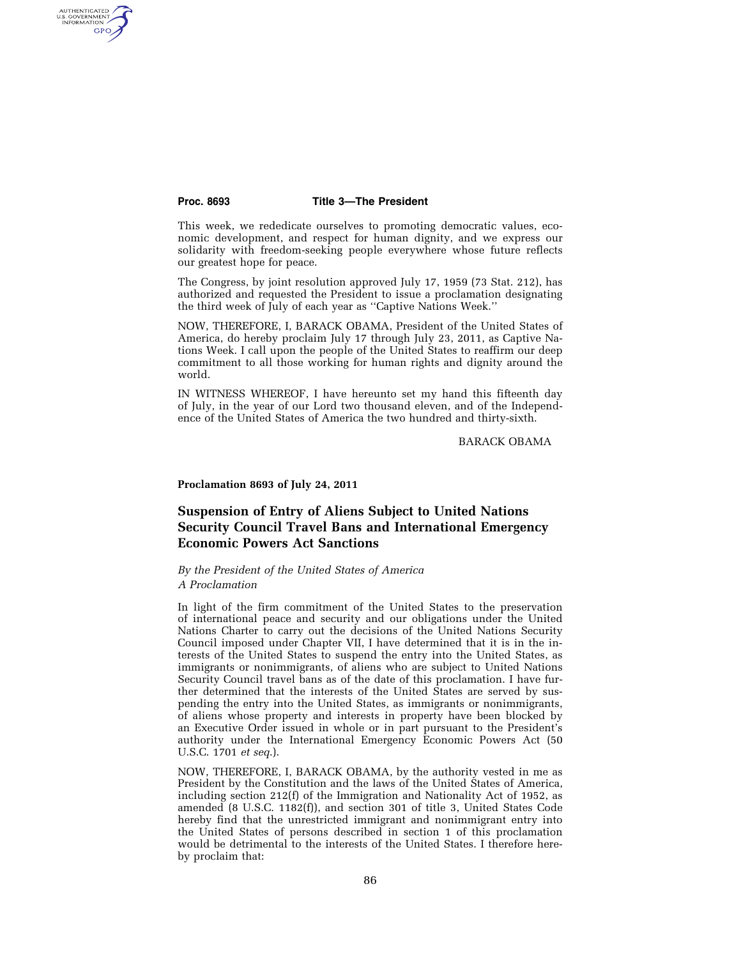AUTHENTICATED<br>U.S. GOVERNMENT<br>INFORMATION GPO

#### **Proc. 8693 Title 3—The President**

This week, we rededicate ourselves to promoting democratic values, economic development, and respect for human dignity, and we express our solidarity with freedom-seeking people everywhere whose future reflects our greatest hope for peace.

The Congress, by joint resolution approved July 17, 1959 (73 Stat. 212), has authorized and requested the President to issue a proclamation designating the third week of July of each year as ''Captive Nations Week.''

NOW, THEREFORE, I, BARACK OBAMA, President of the United States of America, do hereby proclaim July 17 through July 23, 2011, as Captive Nations Week. I call upon the people of the United States to reaffirm our deep commitment to all those working for human rights and dignity around the world.

IN WITNESS WHEREOF, I have hereunto set my hand this fifteenth day of July, in the year of our Lord two thousand eleven, and of the Independence of the United States of America the two hundred and thirty-sixth.

BARACK OBAMA

#### **Proclamation 8693 of July 24, 2011**

# **Suspension of Entry of Aliens Subject to United Nations Security Council Travel Bans and International Emergency Economic Powers Act Sanctions**

## *By the President of the United States of America A Proclamation*

In light of the firm commitment of the United States to the preservation of international peace and security and our obligations under the United Nations Charter to carry out the decisions of the United Nations Security Council imposed under Chapter VII, I have determined that it is in the interests of the United States to suspend the entry into the United States, as immigrants or nonimmigrants, of aliens who are subject to United Nations Security Council travel bans as of the date of this proclamation. I have further determined that the interests of the United States are served by suspending the entry into the United States, as immigrants or nonimmigrants, of aliens whose property and interests in property have been blocked by an Executive Order issued in whole or in part pursuant to the President's authority under the International Emergency Economic Powers Act (50 U.S.C. 1701 *et seq*.).

NOW, THEREFORE, I, BARACK OBAMA, by the authority vested in me as President by the Constitution and the laws of the United States of America, including section 212(f) of the Immigration and Nationality Act of 1952, as amended (8 U.S.C. 1182(f)), and section 301 of title 3, United States Code hereby find that the unrestricted immigrant and nonimmigrant entry into the United States of persons described in section 1 of this proclamation would be detrimental to the interests of the United States. I therefore hereby proclaim that: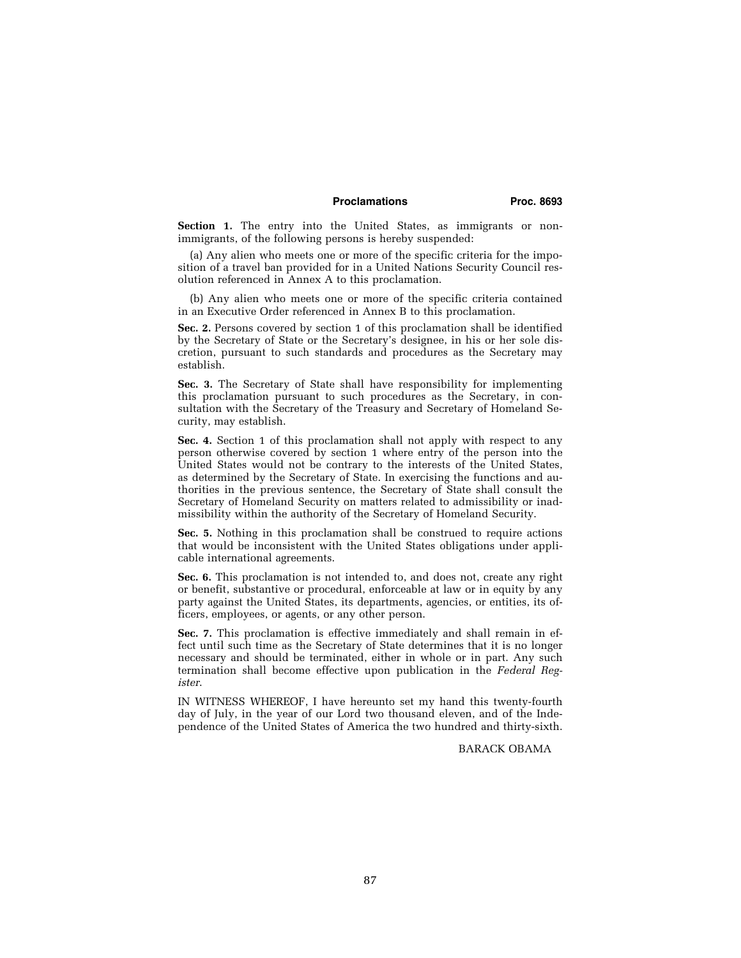### Proclamations **Proc. 8693**

Section 1. The entry into the United States, as immigrants or nonimmigrants, of the following persons is hereby suspended:

(a) Any alien who meets one or more of the specific criteria for the imposition of a travel ban provided for in a United Nations Security Council resolution referenced in Annex A to this proclamation.

(b) Any alien who meets one or more of the specific criteria contained in an Executive Order referenced in Annex B to this proclamation.

**Sec. 2.** Persons covered by section 1 of this proclamation shall be identified by the Secretary of State or the Secretary's designee, in his or her sole discretion, pursuant to such standards and procedures as the Secretary may establish.

**Sec. 3.** The Secretary of State shall have responsibility for implementing this proclamation pursuant to such procedures as the Secretary, in consultation with the Secretary of the Treasury and Secretary of Homeland Security, may establish.

**Sec. 4.** Section 1 of this proclamation shall not apply with respect to any person otherwise covered by section 1 where entry of the person into the United States would not be contrary to the interests of the United States, as determined by the Secretary of State. In exercising the functions and authorities in the previous sentence, the Secretary of State shall consult the Secretary of Homeland Security on matters related to admissibility or inadmissibility within the authority of the Secretary of Homeland Security.

**Sec. 5.** Nothing in this proclamation shall be construed to require actions that would be inconsistent with the United States obligations under applicable international agreements.

**Sec. 6.** This proclamation is not intended to, and does not, create any right or benefit, substantive or procedural, enforceable at law or in equity by any party against the United States, its departments, agencies, or entities, its officers, employees, or agents, or any other person.

Sec. 7. This proclamation is effective immediately and shall remain in effect until such time as the Secretary of State determines that it is no longer necessary and should be terminated, either in whole or in part. Any such termination shall become effective upon publication in the *Federal Register*.

IN WITNESS WHEREOF, I have hereunto set my hand this twenty-fourth day of July, in the year of our Lord two thousand eleven, and of the Independence of the United States of America the two hundred and thirty-sixth.

BARACK OBAMA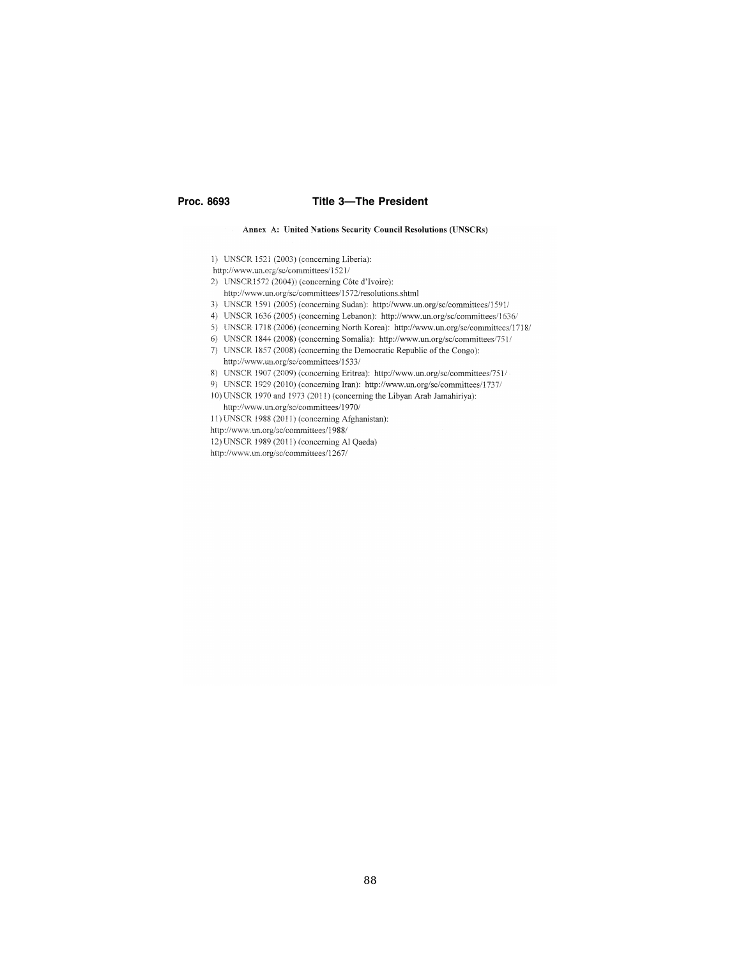#### Proc. 8693

## **Title 3-The President**

#### Annex A: United Nations Security Council Resolutions (UNSCRs)

1) UNSCR 1521 (2003) (concerning Liberia):

http://www.un.org/sc/committees/1521/

- 2) UNSCR1572 (2004)) (concerning Côte d'Ivoire):
	- http://www.un.org/sc/committees/1572/resolutions.shtml
- 3) UNSCR 1591 (2005) (concerning Sudan): http://www.un.org/sc/committees/1591/
- 4) UNSCR 1636 (2005) (concerning Lebanon): http://www.un.org/sc/committees/1636/
- 5) UNSCR 1718 (2006) (concerning North Korea): http://www.un.org/sc/committees/1718/
- 6) UNSCR 1844 (2008) (concerning Somalia): http://www.un.org/sc/committees/751/
- 7) UNSCR 1857 (2008) (concerning the Democratic Republic of the Congo):
	- http://www.un.org/sc/committees/1533/
- 8) UNSCR 1907 (2009) (concerning Eritrea): http://www.un.org/sc/committees/751/
- 9) UNSCR 1929 (2010) (concerning Iran): http://www.un.org/sc/committees/1737/
- 10) UNSCR 1970 and 1973 (2011) (concerning the Libyan Arab Jamahiriya): http://www.un.org/sc/committees/1970/
- 11) UNSCR 1988 (2011) (concerning Afghanistan):
- http://www.un.org/sc/committees/1988/
- 12) UNSCR 1989 (2011) (concerning Al Qaeda)
- http://www.un.org/sc/committees/1267/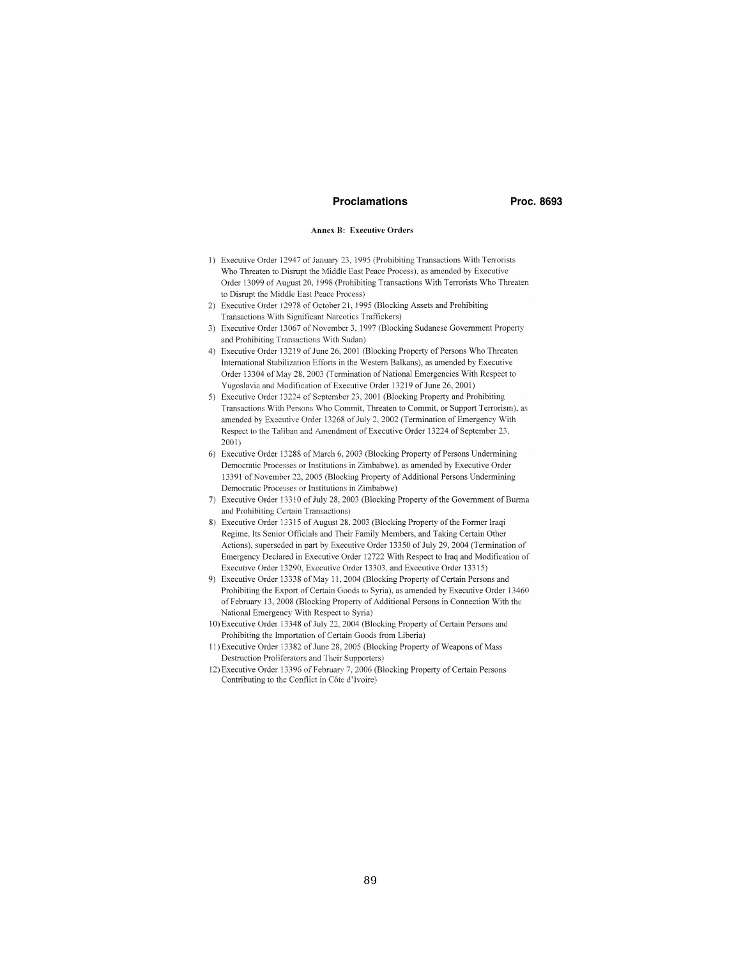#### **Proclamations**

Proc. 8693

#### **Annex B: Executive Orders**

- 1) Executive Order 12947 of January 23, 1995 (Prohibiting Transactions With Terrorists Who Threaten to Disrupt the Middle East Peace Process), as amended by Executive Order 13099 of August 20, 1998 (Prohibiting Transactions With Terrorists Who Threaten to Disrupt the Middle East Peace Process)
- 2) Executive Order 12978 of October 21, 1995 (Blocking Assets and Prohibiting Transactions With Significant Narcotics Traffickers)
- 3) Executive Order 13067 of November 3, 1997 (Blocking Sudanese Government Property and Prohibiting Transactions With Sudan)
- 4) Executive Order 13219 of June 26, 2001 (Blocking Property of Persons Who Threaten International Stabilization Efforts in the Western Balkans), as amended by Executive Order 13304 of May 28, 2003 (Termination of National Emergencies With Respect to Yugoslavia and Modification of Executive Order 13219 of June 26, 2001)
- 5) Executive Order 13224 of September 23, 2001 (Blocking Property and Prohibiting Transactions With Persons Who Commit, Threaten to Commit, or Support Terrorism), as amended by Executive Order 13268 of July 2, 2002 (Termination of Emergency With Respect to the Taliban and Amendment of Executive Order 13224 of September 23,  $2001$
- 6) Executive Order 13288 of March 6, 2003 (Blocking Property of Persons Undermining Democratic Processes or Institutions in Zimbabwe), as amended by Executive Order 13391 of November 22, 2005 (Blocking Property of Additional Persons Undermining Democratic Processes or Institutions in Zimbabwe)
- 7) Executive Order 13310 of July 28, 2003 (Blocking Property of the Government of Burma and Prohibiting Certain Transactions)
- 8) Executive Order 13315 of August 28, 2003 (Blocking Property of the Former Iraqi Regime, Its Senior Officials and Their Family Members, and Taking Certain Other Actions), superseded in part by Executive Order 13350 of July 29, 2004 (Termination of Emergency Declared in Executive Order 12722 With Respect to Iraq and Modification of Executive Order 13290, Executive Order 13303, and Executive Order 13315)
- 9) Executive Order 13338 of May 11, 2004 (Blocking Property of Certain Persons and Prohibiting the Export of Certain Goods to Syria), as amended by Executive Order 13460 of February 13, 2008 (Blocking Property of Additional Persons in Connection With the National Emergency With Respect to Syria)
- 10) Executive Order 13348 of July 22, 2004 (Blocking Property of Certain Persons and Prohibiting the Importation of Certain Goods from Liberia)
- 11) Executive Order 13382 of June 28, 2005 (Blocking Property of Weapons of Mass Destruction Proliferators and Their Supporters)
- 12) Executive Order 13396 of February 7, 2006 (Blocking Property of Certain Persons Contributing to the Conflict in Côte d'Ivoire)